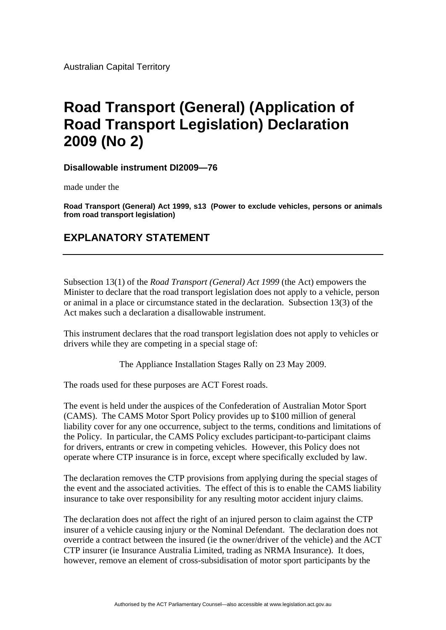## **Road Transport (General) (Application of Road Transport Legislation) Declaration 2009 (No 2)**

**Disallowable instrument DI2009—76**

made under the

**Road Transport (General) Act 1999, s13 (Power to exclude vehicles, persons or animals from road transport legislation)**

## **EXPLANATORY STATEMENT**

Subsection 13(1) of the *Road Transport (General) Act 1999* (the Act) empowers the Minister to declare that the road transport legislation does not apply to a vehicle, person or animal in a place or circumstance stated in the declaration. Subsection 13(3) of the Act makes such a declaration a disallowable instrument.

This instrument declares that the road transport legislation does not apply to vehicles or drivers while they are competing in a special stage of:

The Appliance Installation Stages Rally on 23 May 2009.

The roads used for these purposes are ACT Forest roads.

The event is held under the auspices of the Confederation of Australian Motor Sport (CAMS). The CAMS Motor Sport Policy provides up to \$100 million of general liability cover for any one occurrence, subject to the terms, conditions and limitations of the Policy. In particular, the CAMS Policy excludes participant-to-participant claims for drivers, entrants or crew in competing vehicles. However, this Policy does not operate where CTP insurance is in force, except where specifically excluded by law.

The declaration removes the CTP provisions from applying during the special stages of the event and the associated activities. The effect of this is to enable the CAMS liability insurance to take over responsibility for any resulting motor accident injury claims.

The declaration does not affect the right of an injured person to claim against the CTP insurer of a vehicle causing injury or the Nominal Defendant. The declaration does not override a contract between the insured (ie the owner/driver of the vehicle) and the ACT CTP insurer (ie Insurance Australia Limited, trading as NRMA Insurance). It does, however, remove an element of cross-subsidisation of motor sport participants by the